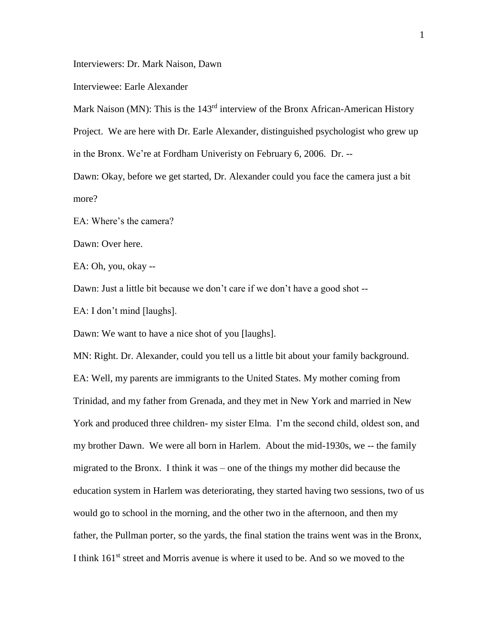Interviewers: Dr. Mark Naison, Dawn

Interviewee: Earle Alexander

Mark Naison (MN): This is the 143<sup>rd</sup> interview of the Bronx African-American History

Project. We are here with Dr. Earle Alexander, distinguished psychologist who grew up

in the Bronx. We're at Fordham Univeristy on February 6, 2006. Dr. --

Dawn: Okay, before we get started, Dr. Alexander could you face the camera just a bit more?

EA: Where's the camera?

Dawn: Over here.

EA: Oh, you, okay --

Dawn: Just a little bit because we don't care if we don't have a good shot --

EA: I don't mind [laughs].

Dawn: We want to have a nice shot of you [laughs].

MN: Right. Dr. Alexander, could you tell us a little bit about your family background. EA: Well, my parents are immigrants to the United States. My mother coming from Trinidad, and my father from Grenada, and they met in New York and married in New York and produced three children- my sister Elma. I'm the second child, oldest son, and my brother Dawn. We were all born in Harlem. About the mid-1930s, we -- the family migrated to the Bronx. I think it was – one of the things my mother did because the education system in Harlem was deteriorating, they started having two sessions, two of us would go to school in the morning, and the other two in the afternoon, and then my father, the Pullman porter, so the yards, the final station the trains went was in the Bronx, I think 161<sup>st</sup> street and Morris avenue is where it used to be. And so we moved to the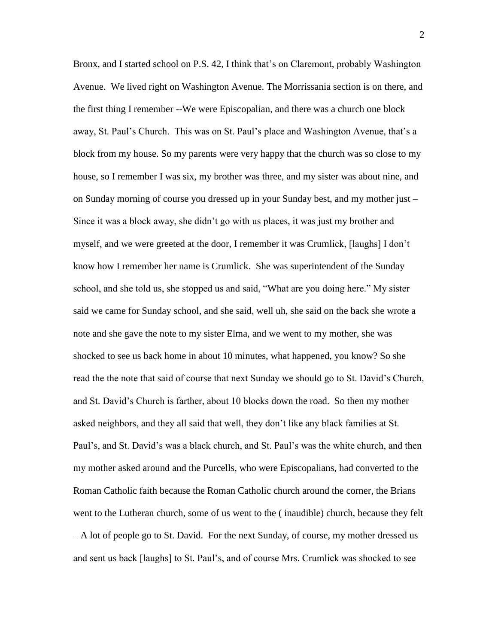Bronx, and I started school on P.S. 42, I think that's on Claremont, probably Washington Avenue. We lived right on Washington Avenue. The Morrissania section is on there, and the first thing I remember --We were Episcopalian, and there was a church one block away, St. Paul's Church. This was on St. Paul's place and Washington Avenue, that's a block from my house. So my parents were very happy that the church was so close to my house, so I remember I was six, my brother was three, and my sister was about nine, and on Sunday morning of course you dressed up in your Sunday best, and my mother just – Since it was a block away, she didn't go with us places, it was just my brother and myself, and we were greeted at the door, I remember it was Crumlick, [laughs] I don't know how I remember her name is Crumlick. She was superintendent of the Sunday school, and she told us, she stopped us and said, "What are you doing here." My sister said we came for Sunday school, and she said, well uh, she said on the back she wrote a note and she gave the note to my sister Elma, and we went to my mother, she was shocked to see us back home in about 10 minutes, what happened, you know? So she read the the note that said of course that next Sunday we should go to St. David's Church, and St. David's Church is farther, about 10 blocks down the road. So then my mother asked neighbors, and they all said that well, they don't like any black families at St. Paul's, and St. David's was a black church, and St. Paul's was the white church, and then my mother asked around and the Purcells, who were Episcopalians, had converted to the Roman Catholic faith because the Roman Catholic church around the corner, the Brians went to the Lutheran church, some of us went to the ( inaudible) church, because they felt – A lot of people go to St. David. For the next Sunday, of course, my mother dressed us and sent us back [laughs] to St. Paul's, and of course Mrs. Crumlick was shocked to see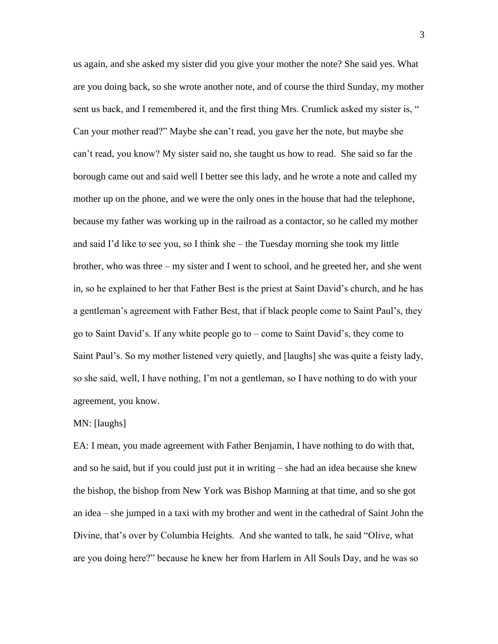us again, and she asked my sister did you give your mother the note? She said yes. What are you doing back, so she wrote another note, and of course the third Sunday, my mother sent us back, and I remembered it, and the first thing Mrs. Crumlick asked my sister is, " Can your mother read?" Maybe she can't read, you gave her the note, but maybe she can't read, you know? My sister said no, she taught us how to read. She said so far the borough came out and said well I better see this lady, and he wrote a note and called my mother up on the phone, and we were the only ones in the house that had the telephone, because my father was working up in the railroad as a contactor, so he called my mother and said I'd like to see you, so I think she – the Tuesday morning she took my little brother, who was three – my sister and I went to school, and he greeted her, and she went in, so he explained to her that Father Best is the priest at Saint David's church, and he has a gentleman's agreement with Father Best, that if black people come to Saint Paul's, they go to Saint David's. If any white people go to – come to Saint David's, they come to Saint Paul's. So my mother listened very quietly, and [laughs] she was quite a feisty lady, so she said, well, I have nothing, I'm not a gentleman, so I have nothing to do with your agreement, you know.

## MN: [laughs]

EA: I mean, you made agreement with Father Benjamin, I have nothing to do with that, and so he said, but if you could just put it in writing – she had an idea because she knew the bishop, the bishop from New York was Bishop Manning at that time, and so she got an idea – she jumped in a taxi with my brother and went in the cathedral of Saint John the Divine, that's over by Columbia Heights. And she wanted to talk, he said "Olive, what are you doing here?" because he knew her from Harlem in All Souls Day, and he was so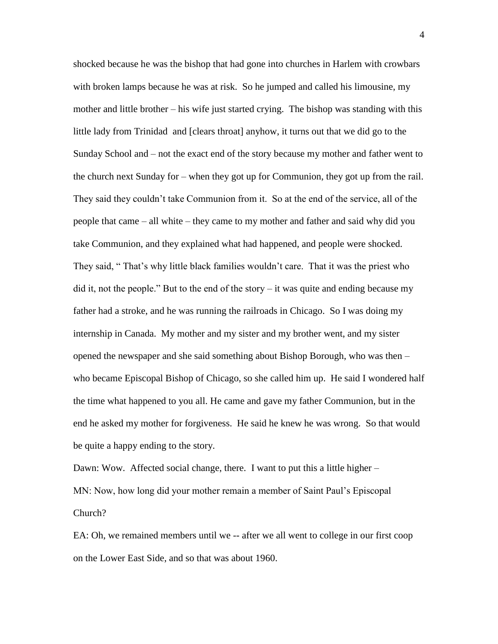shocked because he was the bishop that had gone into churches in Harlem with crowbars with broken lamps because he was at risk. So he jumped and called his limousine, my mother and little brother – his wife just started crying. The bishop was standing with this little lady from Trinidad and [clears throat] anyhow, it turns out that we did go to the Sunday School and – not the exact end of the story because my mother and father went to the church next Sunday for – when they got up for Communion, they got up from the rail. They said they couldn't take Communion from it. So at the end of the service, all of the people that came – all white – they came to my mother and father and said why did you take Communion, and they explained what had happened, and people were shocked. They said, " That's why little black families wouldn't care. That it was the priest who did it, not the people." But to the end of the story  $-$  it was quite and ending because my father had a stroke, and he was running the railroads in Chicago. So I was doing my internship in Canada. My mother and my sister and my brother went, and my sister opened the newspaper and she said something about Bishop Borough, who was then – who became Episcopal Bishop of Chicago, so she called him up. He said I wondered half the time what happened to you all. He came and gave my father Communion, but in the end he asked my mother for forgiveness. He said he knew he was wrong. So that would be quite a happy ending to the story.

Dawn: Wow. Affected social change, there. I want to put this a little higher – MN: Now, how long did your mother remain a member of Saint Paul's Episcopal Church?

EA: Oh, we remained members until we -- after we all went to college in our first coop on the Lower East Side, and so that was about 1960.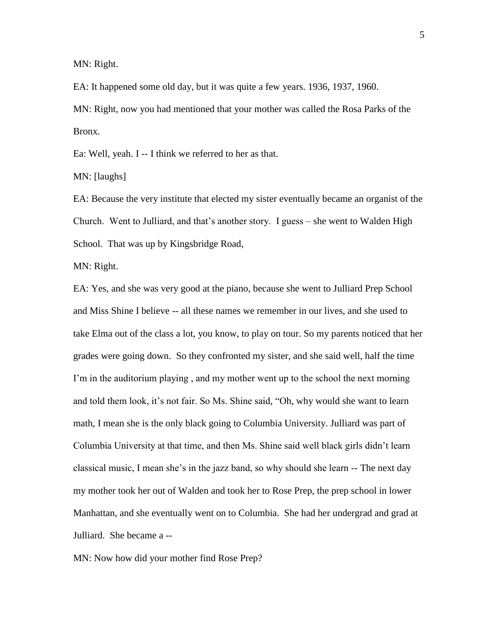MN: Right.

EA: It happened some old day, but it was quite a few years. 1936, 1937, 1960.

MN: Right, now you had mentioned that your mother was called the Rosa Parks of the Bronx.

Ea: Well, yeah. I -- I think we referred to her as that.

MN: [laughs]

EA: Because the very institute that elected my sister eventually became an organist of the Church. Went to Julliard, and that's another story. I guess – she went to Walden High School. That was up by Kingsbridge Road,

MN: Right.

EA: Yes, and she was very good at the piano, because she went to Julliard Prep School and Miss Shine I believe -- all these names we remember in our lives, and she used to take Elma out of the class a lot, you know, to play on tour. So my parents noticed that her grades were going down. So they confronted my sister, and she said well, half the time I'm in the auditorium playing , and my mother went up to the school the next morning and told them look, it's not fair. So Ms. Shine said, "Oh, why would she want to learn math, I mean she is the only black going to Columbia University. Julliard was part of Columbia University at that time, and then Ms. Shine said well black girls didn't learn classical music, I mean she's in the jazz band, so why should she learn -- The next day my mother took her out of Walden and took her to Rose Prep, the prep school in lower Manhattan, and she eventually went on to Columbia. She had her undergrad and grad at Julliard. She became a --

MN: Now how did your mother find Rose Prep?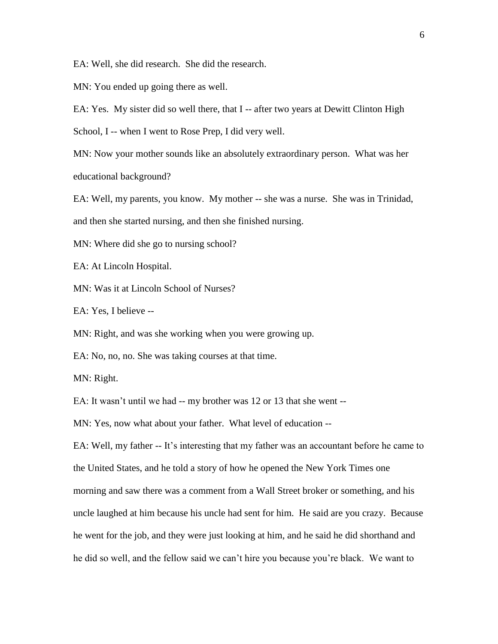EA: Well, she did research. She did the research.

MN: You ended up going there as well.

EA: Yes. My sister did so well there, that I -- after two years at Dewitt Clinton High

School, I -- when I went to Rose Prep, I did very well.

MN: Now your mother sounds like an absolutely extraordinary person. What was her educational background?

EA: Well, my parents, you know. My mother -- she was a nurse. She was in Trinidad, and then she started nursing, and then she finished nursing.

MN: Where did she go to nursing school?

EA: At Lincoln Hospital.

MN: Was it at Lincoln School of Nurses?

EA: Yes, I believe --

MN: Right, and was she working when you were growing up.

EA: No, no, no. She was taking courses at that time.

MN: Right.

EA: It wasn't until we had -- my brother was 12 or 13 that she went --

MN: Yes, now what about your father. What level of education --

EA: Well, my father -- It's interesting that my father was an accountant before he came to the United States, and he told a story of how he opened the New York Times one morning and saw there was a comment from a Wall Street broker or something, and his uncle laughed at him because his uncle had sent for him. He said are you crazy. Because he went for the job, and they were just looking at him, and he said he did shorthand and he did so well, and the fellow said we can't hire you because you're black. We want to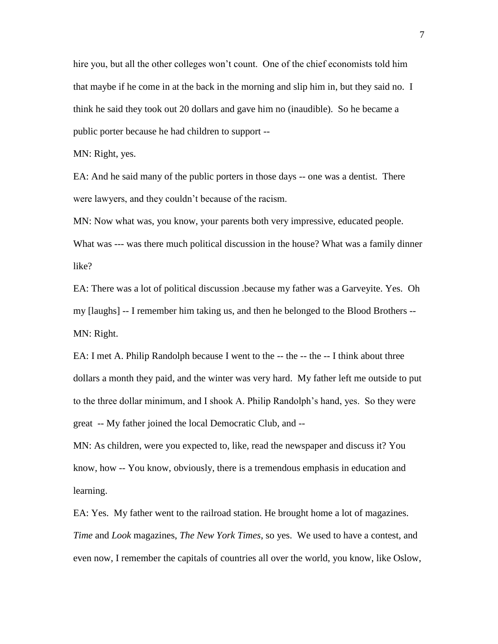hire you, but all the other colleges won't count. One of the chief economists told him that maybe if he come in at the back in the morning and slip him in, but they said no. I think he said they took out 20 dollars and gave him no (inaudible). So he became a public porter because he had children to support --

MN: Right, yes.

EA: And he said many of the public porters in those days -- one was a dentist. There were lawyers, and they couldn't because of the racism.

MN: Now what was, you know, your parents both very impressive, educated people. What was --- was there much political discussion in the house? What was a family dinner like?

EA: There was a lot of political discussion .because my father was a Garveyite. Yes. Oh my [laughs] -- I remember him taking us, and then he belonged to the Blood Brothers -- MN: Right.

EA: I met A. Philip Randolph because I went to the -- the -- the -- I think about three dollars a month they paid, and the winter was very hard. My father left me outside to put to the three dollar minimum, and I shook A. Philip Randolph's hand, yes. So they were great -- My father joined the local Democratic Club, and --

MN: As children, were you expected to, like, read the newspaper and discuss it? You know, how -- You know, obviously, there is a tremendous emphasis in education and learning.

EA: Yes. My father went to the railroad station. He brought home a lot of magazines. *Time* and *Look* magazines, *The New York Times*, so yes. We used to have a contest, and even now, I remember the capitals of countries all over the world, you know, like Oslow,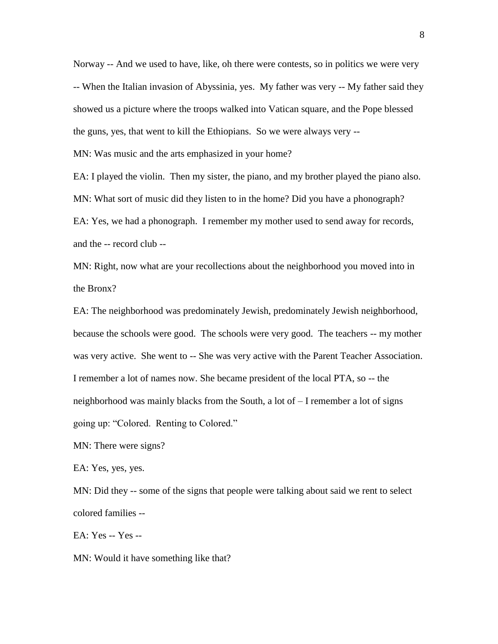Norway -- And we used to have, like, oh there were contests, so in politics we were very -- When the Italian invasion of Abyssinia, yes. My father was very -- My father said they showed us a picture where the troops walked into Vatican square, and the Pope blessed the guns, yes, that went to kill the Ethiopians. So we were always very -- MN: Was music and the arts emphasized in your home?

EA: I played the violin. Then my sister, the piano, and my brother played the piano also. MN: What sort of music did they listen to in the home? Did you have a phonograph? EA: Yes, we had a phonograph. I remember my mother used to send away for records, and the -- record club --

MN: Right, now what are your recollections about the neighborhood you moved into in the Bronx?

EA: The neighborhood was predominately Jewish, predominately Jewish neighborhood, because the schools were good. The schools were very good. The teachers -- my mother was very active. She went to -- She was very active with the Parent Teacher Association. I remember a lot of names now. She became president of the local PTA, so -- the neighborhood was mainly blacks from the South, a lot of – I remember a lot of signs going up: "Colored. Renting to Colored."

MN: There were signs?

EA: Yes, yes, yes.

MN: Did they -- some of the signs that people were talking about said we rent to select colored families --

EA: Yes -- Yes --

MN: Would it have something like that?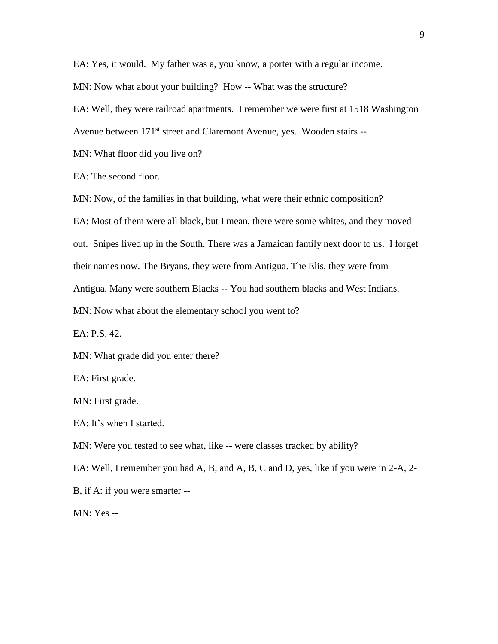EA: Yes, it would. My father was a, you know, a porter with a regular income.

MN: Now what about your building? How -- What was the structure?

EA: Well, they were railroad apartments. I remember we were first at 1518 Washington

Avenue between 171<sup>st</sup> street and Claremont Avenue, yes. Wooden stairs --

MN: What floor did you live on?

EA: The second floor.

MN: Now, of the families in that building, what were their ethnic composition?

EA: Most of them were all black, but I mean, there were some whites, and they moved out. Snipes lived up in the South. There was a Jamaican family next door to us. I forget their names now. The Bryans, they were from Antigua. The Elis, they were from Antigua. Many were southern Blacks -- You had southern blacks and West Indians. MN: Now what about the elementary school you went to?

EA: P.S. 42.

MN: What grade did you enter there?

EA: First grade.

MN: First grade.

EA: It's when I started.

MN: Were you tested to see what, like -- were classes tracked by ability?

EA: Well, I remember you had A, B, and A, B, C and D, yes, like if you were in 2-A, 2- B, if A: if you were smarter --

MN: Yes --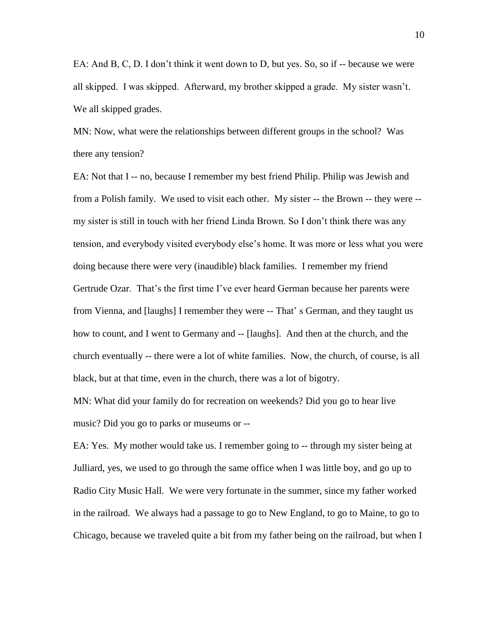EA: And B, C, D. I don't think it went down to D, but yes. So, so if -- because we were all skipped. I was skipped. Afterward, my brother skipped a grade. My sister wasn't. We all skipped grades.

MN: Now, what were the relationships between different groups in the school? Was there any tension?

EA: Not that I -- no, because I remember my best friend Philip. Philip was Jewish and from a Polish family. We used to visit each other. My sister -- the Brown -- they were - my sister is still in touch with her friend Linda Brown. So I don't think there was any tension, and everybody visited everybody else's home. It was more or less what you were doing because there were very (inaudible) black families. I remember my friend Gertrude Ozar. That's the first time I've ever heard German because her parents were from Vienna, and [laughs] I remember they were -- That' s German, and they taught us how to count, and I went to Germany and -- [laughs]. And then at the church, and the church eventually -- there were a lot of white families. Now, the church, of course, is all black, but at that time, even in the church, there was a lot of bigotry.

MN: What did your family do for recreation on weekends? Did you go to hear live music? Did you go to parks or museums or --

EA: Yes. My mother would take us. I remember going to -- through my sister being at Julliard, yes, we used to go through the same office when I was little boy, and go up to Radio City Music Hall. We were very fortunate in the summer, since my father worked in the railroad. We always had a passage to go to New England, to go to Maine, to go to Chicago, because we traveled quite a bit from my father being on the railroad, but when I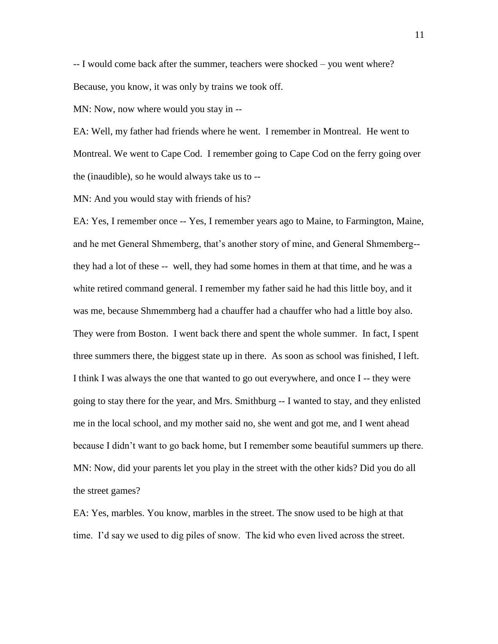-- I would come back after the summer, teachers were shocked – you went where? Because, you know, it was only by trains we took off.

MN: Now, now where would you stay in --

EA: Well, my father had friends where he went. I remember in Montreal. He went to Montreal. We went to Cape Cod. I remember going to Cape Cod on the ferry going over the (inaudible), so he would always take us to --

MN: And you would stay with friends of his?

EA: Yes, I remember once -- Yes, I remember years ago to Maine, to Farmington, Maine, and he met General Shmemberg, that's another story of mine, and General Shmemberg- they had a lot of these -- well, they had some homes in them at that time, and he was a white retired command general. I remember my father said he had this little boy, and it was me, because Shmemmberg had a chauffer had a chauffer who had a little boy also. They were from Boston. I went back there and spent the whole summer. In fact, I spent three summers there, the biggest state up in there. As soon as school was finished, I left. I think I was always the one that wanted to go out everywhere, and once I -- they were going to stay there for the year, and Mrs. Smithburg -- I wanted to stay, and they enlisted me in the local school, and my mother said no, she went and got me, and I went ahead because I didn't want to go back home, but I remember some beautiful summers up there. MN: Now, did your parents let you play in the street with the other kids? Did you do all the street games?

EA: Yes, marbles. You know, marbles in the street. The snow used to be high at that time. I'd say we used to dig piles of snow. The kid who even lived across the street.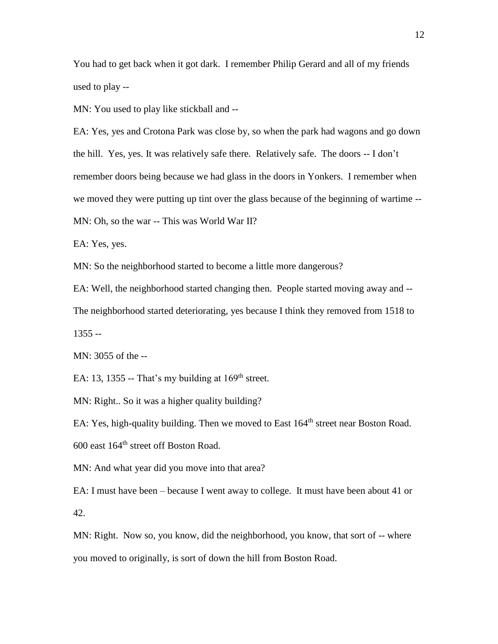You had to get back when it got dark. I remember Philip Gerard and all of my friends used to play --

MN: You used to play like stickball and --

EA: Yes, yes and Crotona Park was close by, so when the park had wagons and go down the hill. Yes, yes. It was relatively safe there. Relatively safe. The doors -- I don't remember doors being because we had glass in the doors in Yonkers. I remember when we moved they were putting up tint over the glass because of the beginning of wartime -- MN: Oh, so the war -- This was World War II?

EA: Yes, yes.

MN: So the neighborhood started to become a little more dangerous?

EA: Well, the neighborhood started changing then. People started moving away and -- The neighborhood started deteriorating, yes because I think they removed from 1518 to

 $1355 -$ 

MN: 3055 of the --

EA: 13, 1355 -- That's my building at  $169<sup>th</sup>$  street.

MN: Right.. So it was a higher quality building?

EA: Yes, high-quality building. Then we moved to East 164<sup>th</sup> street near Boston Road.

600 east 164th street off Boston Road.

MN: And what year did you move into that area?

EA: I must have been – because I went away to college. It must have been about 41 or 42.

MN: Right. Now so, you know, did the neighborhood, you know, that sort of -- where you moved to originally, is sort of down the hill from Boston Road.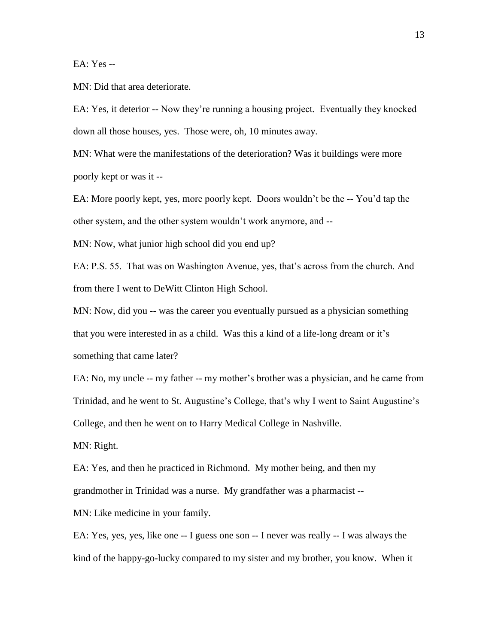EA: Yes --

MN: Did that area deteriorate.

EA: Yes, it deterior -- Now they're running a housing project. Eventually they knocked down all those houses, yes. Those were, oh, 10 minutes away.

MN: What were the manifestations of the deterioration? Was it buildings were more poorly kept or was it --

EA: More poorly kept, yes, more poorly kept. Doors wouldn't be the -- You'd tap the other system, and the other system wouldn't work anymore, and --

MN: Now, what junior high school did you end up?

EA: P.S. 55. That was on Washington Avenue, yes, that's across from the church. And from there I went to DeWitt Clinton High School.

MN: Now, did you -- was the career you eventually pursued as a physician something that you were interested in as a child. Was this a kind of a life-long dream or it's something that came later?

EA: No, my uncle -- my father -- my mother's brother was a physician, and he came from Trinidad, and he went to St. Augustine's College, that's why I went to Saint Augustine's College, and then he went on to Harry Medical College in Nashville.

MN: Right.

EA: Yes, and then he practiced in Richmond. My mother being, and then my grandmother in Trinidad was a nurse. My grandfather was a pharmacist --

MN: Like medicine in your family.

EA: Yes, yes, yes, like one -- I guess one son -- I never was really -- I was always the kind of the happy-go-lucky compared to my sister and my brother, you know. When it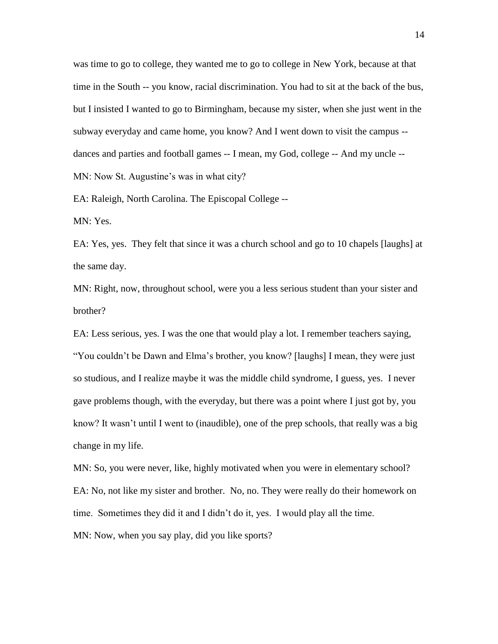was time to go to college, they wanted me to go to college in New York, because at that time in the South -- you know, racial discrimination. You had to sit at the back of the bus, but I insisted I wanted to go to Birmingham, because my sister, when she just went in the subway everyday and came home, you know? And I went down to visit the campus - dances and parties and football games -- I mean, my God, college -- And my uncle -- MN: Now St. Augustine's was in what city?

EA: Raleigh, North Carolina. The Episcopal College --

MN: Yes.

EA: Yes, yes. They felt that since it was a church school and go to 10 chapels [laughs] at the same day.

MN: Right, now, throughout school, were you a less serious student than your sister and brother?

EA: Less serious, yes. I was the one that would play a lot. I remember teachers saying, "You couldn't be Dawn and Elma's brother, you know? [laughs] I mean, they were just so studious, and I realize maybe it was the middle child syndrome, I guess, yes. I never gave problems though, with the everyday, but there was a point where I just got by, you know? It wasn't until I went to (inaudible), one of the prep schools, that really was a big change in my life.

MN: So, you were never, like, highly motivated when you were in elementary school? EA: No, not like my sister and brother. No, no. They were really do their homework on time. Sometimes they did it and I didn't do it, yes. I would play all the time. MN: Now, when you say play, did you like sports?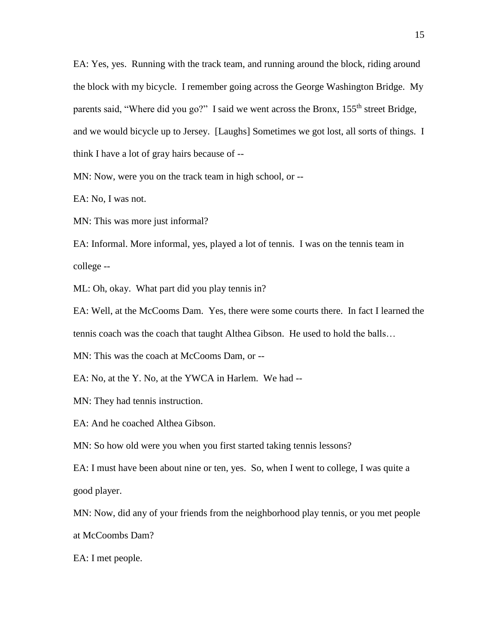EA: Yes, yes. Running with the track team, and running around the block, riding around the block with my bicycle. I remember going across the George Washington Bridge. My parents said, "Where did you go?" I said we went across the Bronx, 155<sup>th</sup> street Bridge, and we would bicycle up to Jersey. [Laughs] Sometimes we got lost, all sorts of things. I think I have a lot of gray hairs because of --

MN: Now, were you on the track team in high school, or --

EA: No, I was not.

MN: This was more just informal?

EA: Informal. More informal, yes, played a lot of tennis. I was on the tennis team in college --

ML: Oh, okay. What part did you play tennis in?

EA: Well, at the McCooms Dam. Yes, there were some courts there. In fact I learned the tennis coach was the coach that taught Althea Gibson. He used to hold the balls…

MN: This was the coach at McCooms Dam, or --

EA: No, at the Y. No, at the YWCA in Harlem. We had --

MN: They had tennis instruction.

EA: And he coached Althea Gibson.

MN: So how old were you when you first started taking tennis lessons?

EA: I must have been about nine or ten, yes. So, when I went to college, I was quite a good player.

MN: Now, did any of your friends from the neighborhood play tennis, or you met people at McCoombs Dam?

EA: I met people.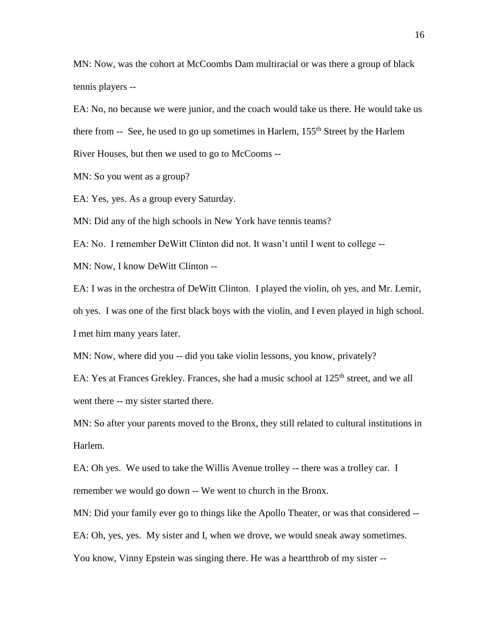MN: Now, was the cohort at McCoombs Dam multiracial or was there a group of black tennis players --

EA: No, no because we were junior, and the coach would take us there. He would take us there from  $-$  See, he used to go up sometimes in Harlem,  $155<sup>th</sup>$  Street by the Harlem River Houses, but then we used to go to McCooms --

MN: So you went as a group?

EA: Yes, yes. As a group every Saturday.

MN: Did any of the high schools in New York have tennis teams?

EA: No. I remember DeWitt Clinton did not. It wasn't until I went to college --

MN: Now, I know DeWitt Clinton --

EA: I was in the orchestra of DeWitt Clinton. I played the violin, oh yes, and Mr. Lemir, oh yes. I was one of the first black boys with the violin, and I even played in high school. I met him many years later.

MN: Now, where did you -- did you take violin lessons, you know, privately?

EA: Yes at Frances Grekley. Frances, she had a music school at 125<sup>th</sup> street, and we all went there -- my sister started there.

MN: So after your parents moved to the Bronx, they still related to cultural institutions in Harlem.

EA: Oh yes. We used to take the Willis Avenue trolley -- there was a trolley car. I remember we would go down -- We went to church in the Bronx.

MN: Did your family ever go to things like the Apollo Theater, or was that considered --

EA: Oh, yes, yes. My sister and I, when we drove, we would sneak away sometimes.

You know, Vinny Epstein was singing there. He was a heartthrob of my sister --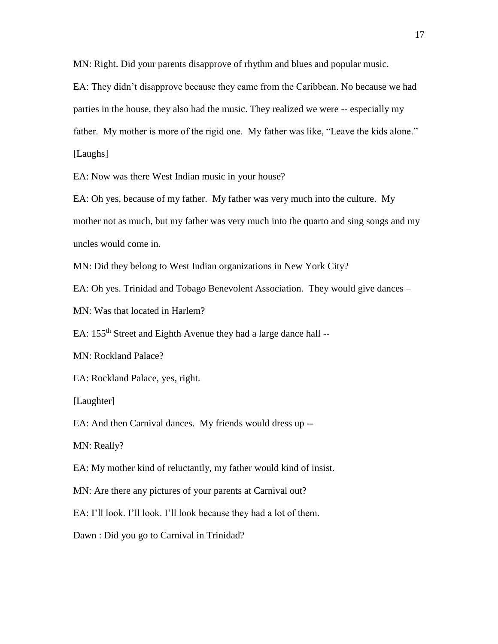MN: Right. Did your parents disapprove of rhythm and blues and popular music.

EA: They didn't disapprove because they came from the Caribbean. No because we had parties in the house, they also had the music. They realized we were -- especially my father. My mother is more of the rigid one. My father was like, "Leave the kids alone." [Laughs]

EA: Now was there West Indian music in your house?

EA: Oh yes, because of my father. My father was very much into the culture. My mother not as much, but my father was very much into the quarto and sing songs and my uncles would come in.

MN: Did they belong to West Indian organizations in New York City?

EA: Oh yes. Trinidad and Tobago Benevolent Association. They would give dances –

MN: Was that located in Harlem?

EA: 155<sup>th</sup> Street and Eighth Avenue they had a large dance hall --

MN: Rockland Palace?

EA: Rockland Palace, yes, right.

[Laughter]

EA: And then Carnival dances. My friends would dress up --

MN: Really?

EA: My mother kind of reluctantly, my father would kind of insist.

MN: Are there any pictures of your parents at Carnival out?

EA: I'll look. I'll look. I'll look because they had a lot of them.

Dawn : Did you go to Carnival in Trinidad?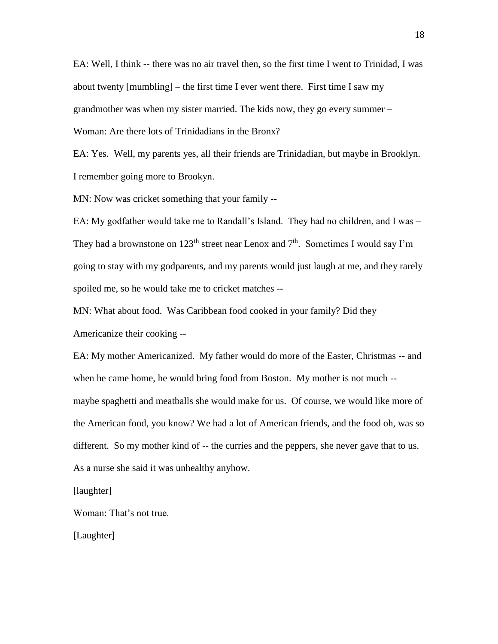EA: Well, I think -- there was no air travel then, so the first time I went to Trinidad, I was about twenty [mumbling] – the first time I ever went there. First time I saw my grandmother was when my sister married. The kids now, they go every summer – Woman: Are there lots of Trinidadians in the Bronx?

EA: Yes. Well, my parents yes, all their friends are Trinidadian, but maybe in Brooklyn. I remember going more to Brookyn.

MN: Now was cricket something that your family --

EA: My godfather would take me to Randall's Island. They had no children, and I was – They had a brownstone on 123<sup>th</sup> street near Lenox and  $7<sup>th</sup>$ . Sometimes I would say I'm going to stay with my godparents, and my parents would just laugh at me, and they rarely spoiled me, so he would take me to cricket matches --

MN: What about food. Was Caribbean food cooked in your family? Did they

Americanize their cooking --

EA: My mother Americanized. My father would do more of the Easter, Christmas -- and when he came home, he would bring food from Boston. My mother is not much - maybe spaghetti and meatballs she would make for us. Of course, we would like more of the American food, you know? We had a lot of American friends, and the food oh, was so different. So my mother kind of -- the curries and the peppers, she never gave that to us. As a nurse she said it was unhealthy anyhow.

[laughter]

Woman: That's not true.

[Laughter]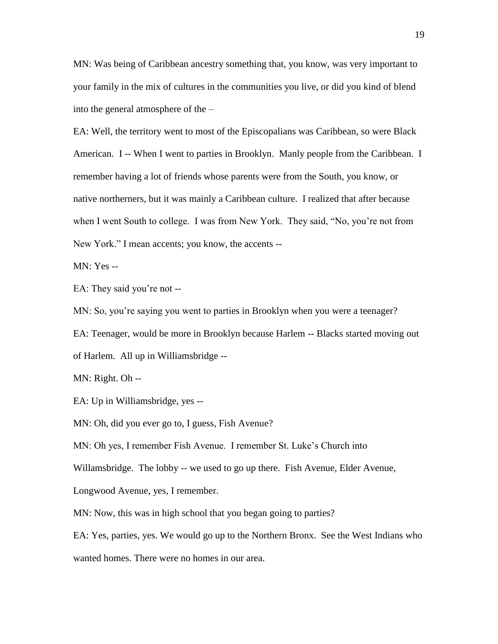MN: Was being of Caribbean ancestry something that, you know, was very important to your family in the mix of cultures in the communities you live, or did you kind of blend into the general atmosphere of the –

EA: Well, the territory went to most of the Episcopalians was Caribbean, so were Black American. I -- When I went to parties in Brooklyn. Manly people from the Caribbean. I remember having a lot of friends whose parents were from the South, you know, or native northerners, but it was mainly a Caribbean culture. I realized that after because when I went South to college. I was from New York. They said, "No, you're not from New York." I mean accents; you know, the accents --

MN: Yes --

EA: They said you're not --

MN: So, you're saying you went to parties in Brooklyn when you were a teenager?

EA: Teenager, would be more in Brooklyn because Harlem -- Blacks started moving out of Harlem. All up in Williamsbridge --

MN: Right. Oh --

EA: Up in Williamsbridge, yes --

MN: Oh, did you ever go to, I guess, Fish Avenue?

MN: Oh yes, I remember Fish Avenue. I remember St. Luke's Church into

Willamsbridge. The lobby -- we used to go up there. Fish Avenue, Elder Avenue,

Longwood Avenue, yes, I remember.

MN: Now, this was in high school that you began going to parties?

EA: Yes, parties, yes. We would go up to the Northern Bronx. See the West Indians who

wanted homes. There were no homes in our area.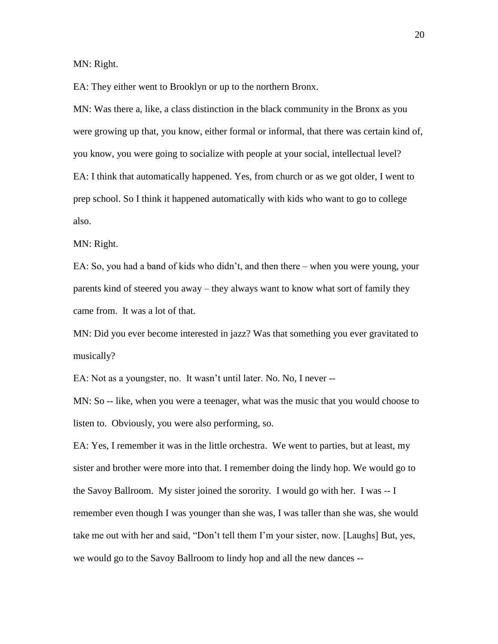MN: Right.

EA: They either went to Brooklyn or up to the northern Bronx.

MN: Was there a, like, a class distinction in the black community in the Bronx as you were growing up that, you know, either formal or informal, that there was certain kind of, you know, you were going to socialize with people at your social, intellectual level? EA: I think that automatically happened. Yes, from church or as we got older, I went to prep school. So I think it happened automatically with kids who want to go to college also.

MN: Right.

EA: So, you had a band of kids who didn't, and then there – when you were young, your parents kind of steered you away – they always want to know what sort of family they came from. It was a lot of that.

MN: Did you ever become interested in jazz? Was that something you ever gravitated to musically?

EA: Not as a youngster, no. It wasn't until later. No. No, I never --

MN: So -- like, when you were a teenager, what was the music that you would choose to listen to. Obviously, you were also performing, so.

EA: Yes, I remember it was in the little orchestra. We went to parties, but at least, my sister and brother were more into that. I remember doing the lindy hop. We would go to the Savoy Ballroom. My sister joined the sorority. I would go with her. I was -- I remember even though I was younger than she was, I was taller than she was, she would take me out with her and said, "Don't tell them I'm your sister, now. [Laughs] But, yes, we would go to the Savoy Ballroom to lindy hop and all the new dances --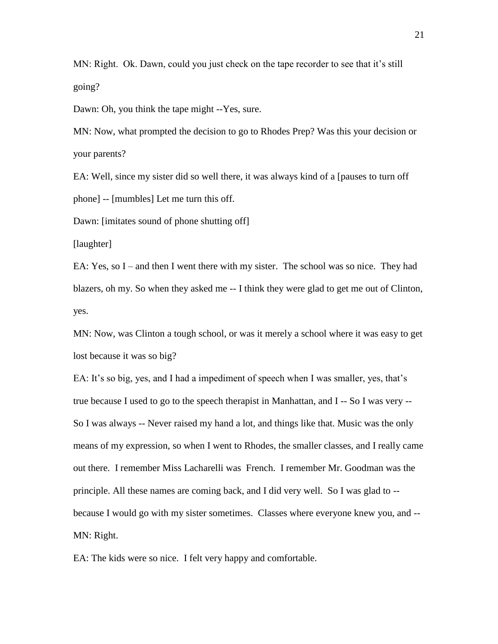MN: Right. Ok. Dawn, could you just check on the tape recorder to see that it's still going?

Dawn: Oh, you think the tape might --Yes, sure.

MN: Now, what prompted the decision to go to Rhodes Prep? Was this your decision or your parents?

EA: Well, since my sister did so well there, it was always kind of a [pauses to turn off phone] -- [mumbles] Let me turn this off.

Dawn: [imitates sound of phone shutting off]

[laughter]

EA: Yes, so  $I$  – and then I went there with my sister. The school was so nice. They had blazers, oh my. So when they asked me -- I think they were glad to get me out of Clinton, yes.

MN: Now, was Clinton a tough school, or was it merely a school where it was easy to get lost because it was so big?

EA: It's so big, yes, and I had a impediment of speech when I was smaller, yes, that's true because I used to go to the speech therapist in Manhattan, and I -- So I was very -- So I was always -- Never raised my hand a lot, and things like that. Music was the only means of my expression, so when I went to Rhodes, the smaller classes, and I really came out there. I remember Miss Lacharelli was French. I remember Mr. Goodman was the principle. All these names are coming back, and I did very well. So I was glad to - because I would go with my sister sometimes. Classes where everyone knew you, and -- MN: Right.

EA: The kids were so nice. I felt very happy and comfortable.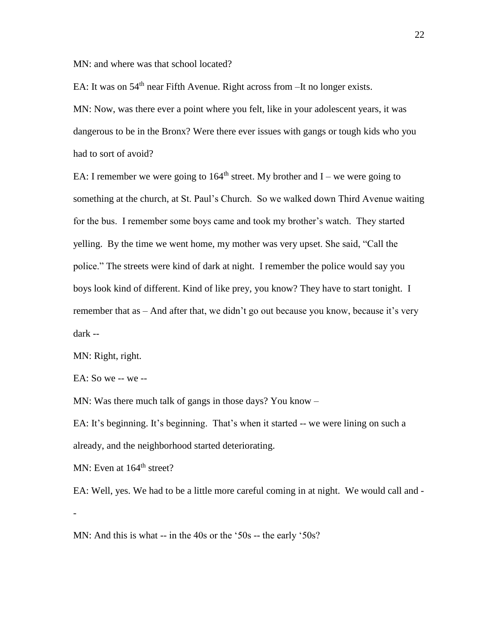MN: and where was that school located?

EA: It was on  $54<sup>th</sup>$  near Fifth Avenue. Right across from  $-It$  no longer exists.

MN: Now, was there ever a point where you felt, like in your adolescent years, it was dangerous to be in the Bronx? Were there ever issues with gangs or tough kids who you had to sort of avoid?

EA: I remember we were going to  $164<sup>th</sup>$  street. My brother and I – we were going to something at the church, at St. Paul's Church. So we walked down Third Avenue waiting for the bus. I remember some boys came and took my brother's watch. They started yelling. By the time we went home, my mother was very upset. She said, "Call the police." The streets were kind of dark at night. I remember the police would say you boys look kind of different. Kind of like prey, you know? They have to start tonight. I remember that as – And after that, we didn't go out because you know, because it's very dark --

MN: Right, right.

EA: So we -- we --

MN: Was there much talk of gangs in those days? You know –

EA: It's beginning. It's beginning. That's when it started -- we were lining on such a already, and the neighborhood started deteriorating.

MN: Even at 164<sup>th</sup> street?

EA: Well, yes. We had to be a little more careful coming in at night. We would call and - -

MN: And this is what -- in the 40s or the '50s -- the early '50s?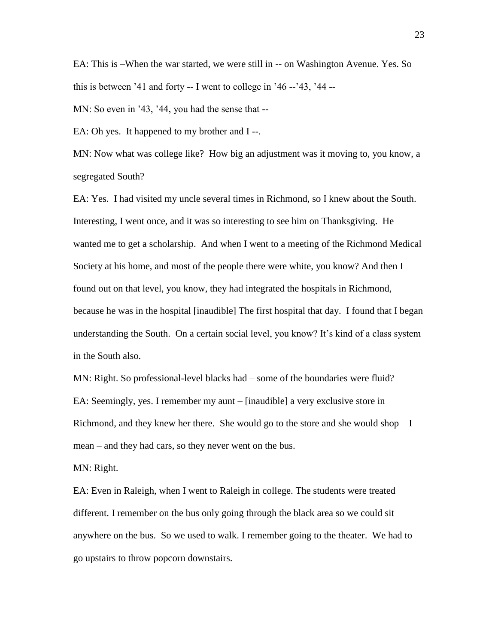EA: This is –When the war started, we were still in -- on Washington Avenue. Yes. So this is between  $31$  and forty -- I went to college in  $36 - 33$ ,  $34 - 1$ 

MN: So even in '43, '44, you had the sense that --

EA: Oh yes. It happened to my brother and I--.

MN: Now what was college like? How big an adjustment was it moving to, you know, a segregated South?

EA: Yes. I had visited my uncle several times in Richmond, so I knew about the South. Interesting, I went once, and it was so interesting to see him on Thanksgiving. He wanted me to get a scholarship. And when I went to a meeting of the Richmond Medical Society at his home, and most of the people there were white, you know? And then I found out on that level, you know, they had integrated the hospitals in Richmond, because he was in the hospital [inaudible] The first hospital that day. I found that I began understanding the South. On a certain social level, you know? It's kind of a class system in the South also.

MN: Right. So professional-level blacks had – some of the boundaries were fluid? EA: Seemingly, yes. I remember my aunt – [inaudible] a very exclusive store in Richmond, and they knew her there. She would go to the store and she would shop  $-I$ mean – and they had cars, so they never went on the bus.

MN: Right.

EA: Even in Raleigh, when I went to Raleigh in college. The students were treated different. I remember on the bus only going through the black area so we could sit anywhere on the bus. So we used to walk. I remember going to the theater. We had to go upstairs to throw popcorn downstairs.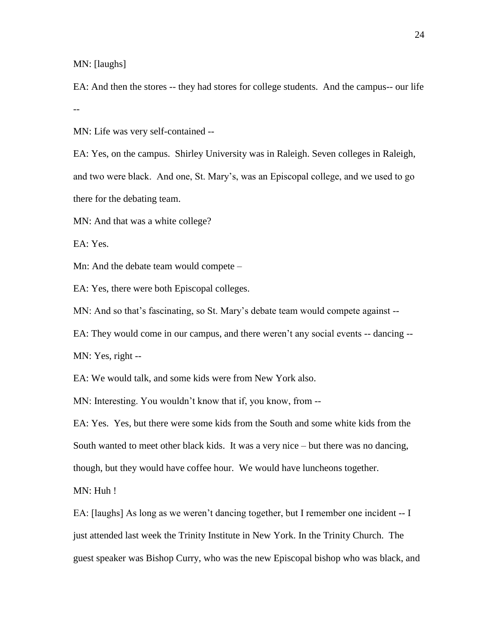MN: [laughs]

EA: And then the stores -- they had stores for college students. And the campus-- our life --

MN: Life was very self-contained --

EA: Yes, on the campus. Shirley University was in Raleigh. Seven colleges in Raleigh, and two were black. And one, St. Mary's, was an Episcopal college, and we used to go there for the debating team.

MN: And that was a white college?

EA: Yes.

Mn: And the debate team would compete –

EA: Yes, there were both Episcopal colleges.

MN: And so that's fascinating, so St. Mary's debate team would compete against --

EA: They would come in our campus, and there weren't any social events -- dancing --

MN: Yes, right --

EA: We would talk, and some kids were from New York also.

MN: Interesting. You wouldn't know that if, you know, from --

EA: Yes. Yes, but there were some kids from the South and some white kids from the South wanted to meet other black kids. It was a very nice – but there was no dancing, though, but they would have coffee hour. We would have luncheons together.

MN: Huh !

EA: [laughs] As long as we weren't dancing together, but I remember one incident -- I just attended last week the Trinity Institute in New York. In the Trinity Church. The guest speaker was Bishop Curry, who was the new Episcopal bishop who was black, and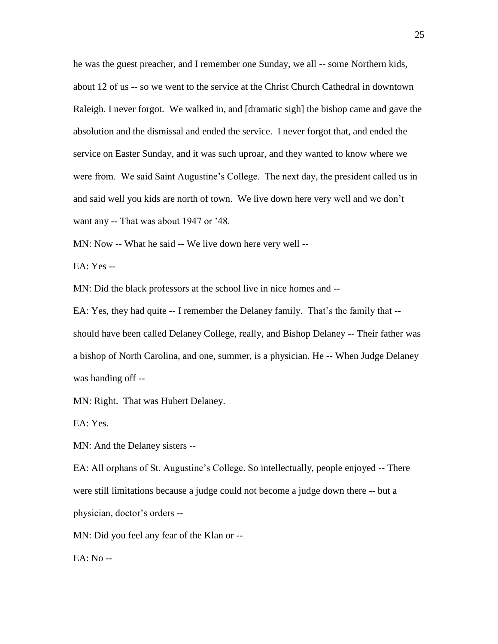he was the guest preacher, and I remember one Sunday, we all -- some Northern kids, about 12 of us -- so we went to the service at the Christ Church Cathedral in downtown Raleigh. I never forgot. We walked in, and [dramatic sigh] the bishop came and gave the absolution and the dismissal and ended the service. I never forgot that, and ended the service on Easter Sunday, and it was such uproar, and they wanted to know where we were from. We said Saint Augustine's College. The next day, the president called us in and said well you kids are north of town. We live down here very well and we don't want any -- That was about 1947 or '48.

MN: Now -- What he said -- We live down here very well --

EA: Yes --

MN: Did the black professors at the school live in nice homes and --

EA: Yes, they had quite -- I remember the Delaney family. That's the family that - should have been called Delaney College, really, and Bishop Delaney -- Their father was a bishop of North Carolina, and one, summer, is a physician. He -- When Judge Delaney was handing off --

MN: Right. That was Hubert Delaney.

EA: Yes.

MN: And the Delaney sisters --

EA: All orphans of St. Augustine's College. So intellectually, people enjoyed -- There were still limitations because a judge could not become a judge down there -- but a physician, doctor's orders --

MN: Did you feel any fear of the Klan or --

EA: No --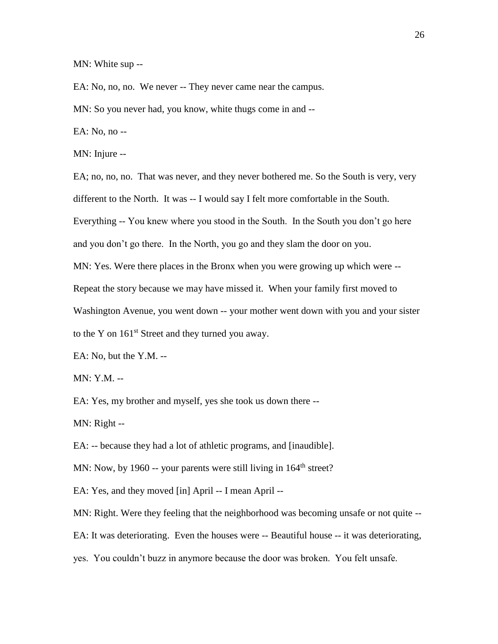MN: White sup --

EA: No, no, no. We never -- They never came near the campus.

MN: So you never had, you know, white thugs come in and --

EA: No, no --

MN: Injure --

EA; no, no, no. That was never, and they never bothered me. So the South is very, very different to the North. It was -- I would say I felt more comfortable in the South.

Everything -- You knew where you stood in the South. In the South you don't go here and you don't go there. In the North, you go and they slam the door on you.

MN: Yes. Were there places in the Bronx when you were growing up which were --

Repeat the story because we may have missed it. When your family first moved to

Washington Avenue, you went down -- your mother went down with you and your sister

to the Y on  $161<sup>st</sup>$  Street and they turned you away.

EA: No, but the Y.M. --

MN: Y.M. --

EA: Yes, my brother and myself, yes she took us down there --

MN: Right --

EA: -- because they had a lot of athletic programs, and [inaudible].

MN: Now, by 1960 -- your parents were still living in 164<sup>th</sup> street?

EA: Yes, and they moved [in] April -- I mean April --

MN: Right. Were they feeling that the neighborhood was becoming unsafe or not quite --

EA: It was deteriorating. Even the houses were -- Beautiful house -- it was deteriorating,

yes. You couldn't buzz in anymore because the door was broken. You felt unsafe.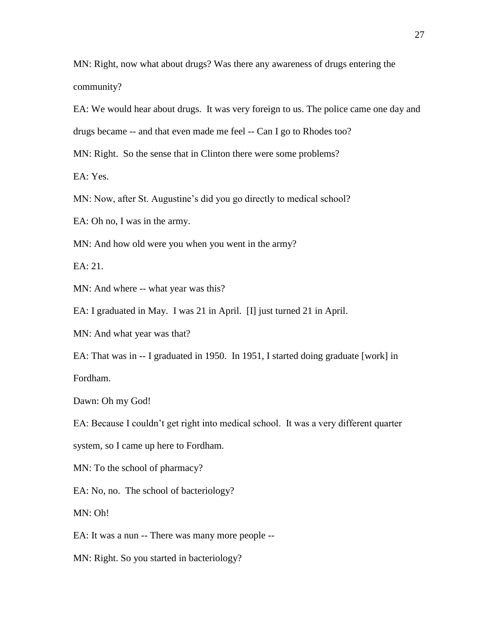MN: Right, now what about drugs? Was there any awareness of drugs entering the community?

EA: We would hear about drugs. It was very foreign to us. The police came one day and

drugs became -- and that even made me feel -- Can I go to Rhodes too?

MN: Right. So the sense that in Clinton there were some problems?

EA: Yes.

MN: Now, after St. Augustine's did you go directly to medical school?

EA: Oh no, I was in the army.

MN: And how old were you when you went in the army?

EA: 21.

MN: And where -- what year was this?

EA: I graduated in May. I was 21 in April. [I] just turned 21 in April.

MN: And what year was that?

EA: That was in -- I graduated in 1950. In 1951, I started doing graduate [work] in Fordham.

Dawn: Oh my God!

EA: Because I couldn't get right into medical school. It was a very different quarter

system, so I came up here to Fordham.

MN: To the school of pharmacy?

EA: No, no. The school of bacteriology?

MN: Oh!

EA: It was a nun -- There was many more people --

MN: Right. So you started in bacteriology?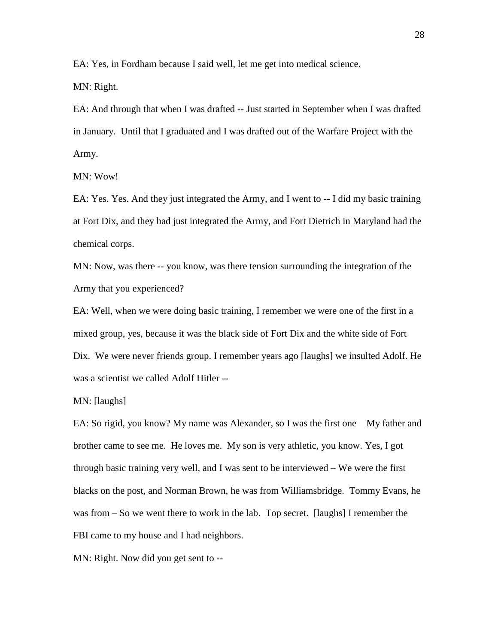EA: Yes, in Fordham because I said well, let me get into medical science.

MN: Right.

EA: And through that when I was drafted -- Just started in September when I was drafted in January. Until that I graduated and I was drafted out of the Warfare Project with the Army.

MN: Wow!

EA: Yes. Yes. And they just integrated the Army, and I went to -- I did my basic training at Fort Dix, and they had just integrated the Army, and Fort Dietrich in Maryland had the chemical corps.

MN: Now, was there -- you know, was there tension surrounding the integration of the Army that you experienced?

EA: Well, when we were doing basic training, I remember we were one of the first in a mixed group, yes, because it was the black side of Fort Dix and the white side of Fort Dix. We were never friends group. I remember years ago [laughs] we insulted Adolf. He was a scientist we called Adolf Hitler --

MN: [laughs]

EA: So rigid, you know? My name was Alexander, so I was the first one – My father and brother came to see me. He loves me. My son is very athletic, you know. Yes, I got through basic training very well, and I was sent to be interviewed – We were the first blacks on the post, and Norman Brown, he was from Williamsbridge. Tommy Evans, he was from – So we went there to work in the lab. Top secret. [laughs] I remember the FBI came to my house and I had neighbors.

MN: Right. Now did you get sent to --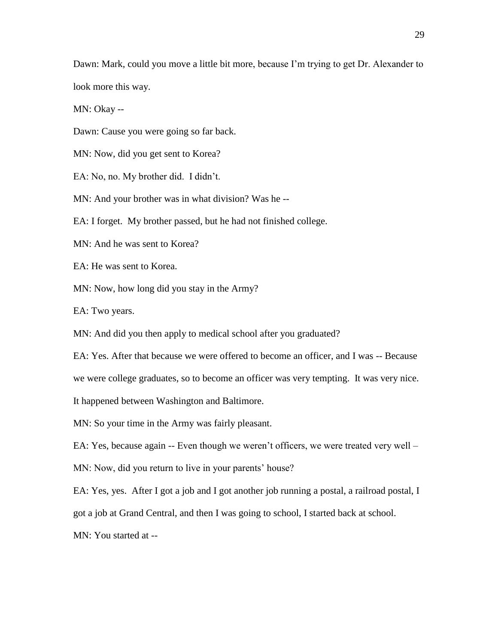Dawn: Mark, could you move a little bit more, because I'm trying to get Dr. Alexander to look more this way.

MN: Okay --

Dawn: Cause you were going so far back.

MN: Now, did you get sent to Korea?

EA: No, no. My brother did. I didn't.

MN: And your brother was in what division? Was he --

EA: I forget. My brother passed, but he had not finished college.

MN: And he was sent to Korea?

EA: He was sent to Korea.

MN: Now, how long did you stay in the Army?

EA: Two years.

MN: And did you then apply to medical school after you graduated?

EA: Yes. After that because we were offered to become an officer, and I was -- Because

we were college graduates, so to become an officer was very tempting. It was very nice.

It happened between Washington and Baltimore.

MN: So your time in the Army was fairly pleasant.

EA: Yes, because again -- Even though we weren't officers, we were treated very well –

MN: Now, did you return to live in your parents' house?

EA: Yes, yes. After I got a job and I got another job running a postal, a railroad postal, I

got a job at Grand Central, and then I was going to school, I started back at school.

MN: You started at --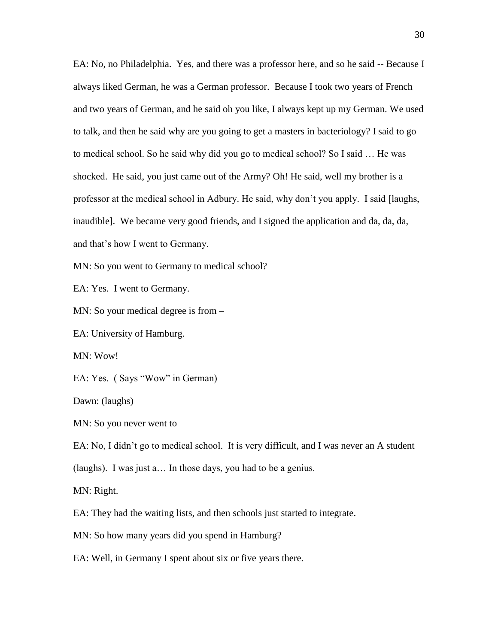EA: No, no Philadelphia. Yes, and there was a professor here, and so he said -- Because I always liked German, he was a German professor. Because I took two years of French and two years of German, and he said oh you like, I always kept up my German. We used to talk, and then he said why are you going to get a masters in bacteriology? I said to go to medical school. So he said why did you go to medical school? So I said … He was shocked. He said, you just came out of the Army? Oh! He said, well my brother is a professor at the medical school in Adbury. He said, why don't you apply. I said [laughs, inaudible]. We became very good friends, and I signed the application and da, da, da, and that's how I went to Germany.

MN: So you went to Germany to medical school?

EA: Yes. I went to Germany.

MN: So your medical degree is from –

EA: University of Hamburg.

MN: Wow!

EA: Yes. ( Says "Wow" in German)

Dawn: (laughs)

MN: So you never went to

EA: No, I didn't go to medical school. It is very difficult, and I was never an A student

(laughs). I was just a… In those days, you had to be a genius.

MN: Right.

EA: They had the waiting lists, and then schools just started to integrate.

MN: So how many years did you spend in Hamburg?

EA: Well, in Germany I spent about six or five years there.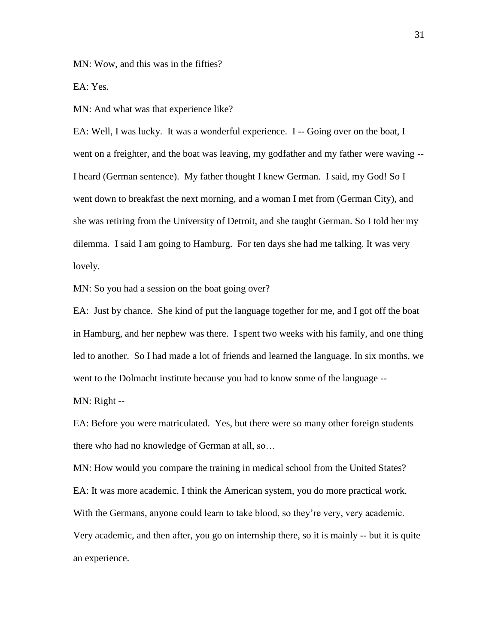MN: Wow, and this was in the fifties?

EA: Yes.

MN: And what was that experience like?

EA: Well, I was lucky. It was a wonderful experience. I -- Going over on the boat, I went on a freighter, and the boat was leaving, my godfather and my father were waving -- I heard (German sentence). My father thought I knew German. I said, my God! So I went down to breakfast the next morning, and a woman I met from (German City), and she was retiring from the University of Detroit, and she taught German. So I told her my dilemma. I said I am going to Hamburg. For ten days she had me talking. It was very lovely.

MN: So you had a session on the boat going over?

EA: Just by chance. She kind of put the language together for me, and I got off the boat in Hamburg, and her nephew was there. I spent two weeks with his family, and one thing led to another. So I had made a lot of friends and learned the language. In six months, we went to the Dolmacht institute because you had to know some of the language --

MN: Right --

EA: Before you were matriculated. Yes, but there were so many other foreign students there who had no knowledge of German at all, so…

MN: How would you compare the training in medical school from the United States? EA: It was more academic. I think the American system, you do more practical work. With the Germans, anyone could learn to take blood, so they're very, very academic. Very academic, and then after, you go on internship there, so it is mainly -- but it is quite an experience.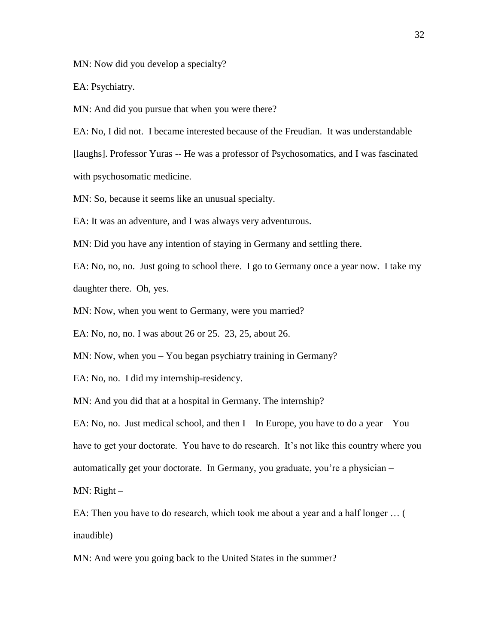MN: Now did you develop a specialty?

EA: Psychiatry.

MN: And did you pursue that when you were there?

EA: No, I did not. I became interested because of the Freudian. It was understandable

[laughs]. Professor Yuras -- He was a professor of Psychosomatics, and I was fascinated

with psychosomatic medicine.

MN: So, because it seems like an unusual specialty.

EA: It was an adventure, and I was always very adventurous.

MN: Did you have any intention of staying in Germany and settling there.

EA: No, no, no. Just going to school there. I go to Germany once a year now. I take my daughter there. Oh, yes.

MN: Now, when you went to Germany, were you married?

EA: No, no, no. I was about 26 or 25. 23, 25, about 26.

MN: Now, when you – You began psychiatry training in Germany?

EA: No, no. I did my internship-residency.

MN: And you did that at a hospital in Germany. The internship?

EA: No, no. Just medical school, and then  $I$  – In Europe, you have to do a year – You have to get your doctorate. You have to do research. It's not like this country where you automatically get your doctorate. In Germany, you graduate, you're a physician –

MN: Right –

EA: Then you have to do research, which took me about a year and a half longer … ( inaudible)

MN: And were you going back to the United States in the summer?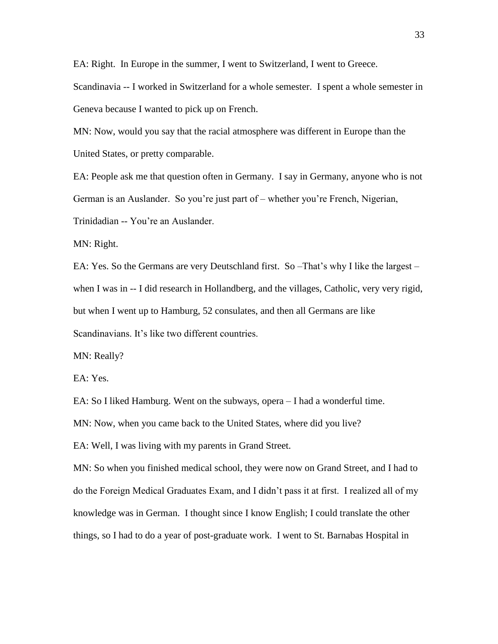EA: Right. In Europe in the summer, I went to Switzerland, I went to Greece.

Scandinavia -- I worked in Switzerland for a whole semester. I spent a whole semester in Geneva because I wanted to pick up on French.

MN: Now, would you say that the racial atmosphere was different in Europe than the United States, or pretty comparable.

EA: People ask me that question often in Germany. I say in Germany, anyone who is not German is an Auslander. So you're just part of – whether you're French, Nigerian, Trinidadian -- You're an Auslander.

MN: Right.

EA: Yes. So the Germans are very Deutschland first. So –That's why I like the largest – when I was in -- I did research in Hollandberg, and the villages, Catholic, very very rigid, but when I went up to Hamburg, 52 consulates, and then all Germans are like Scandinavians. It's like two different countries.

MN: Really?

EA: Yes.

EA: So I liked Hamburg. Went on the subways, opera – I had a wonderful time.

MN: Now, when you came back to the United States, where did you live?

EA: Well, I was living with my parents in Grand Street.

MN: So when you finished medical school, they were now on Grand Street, and I had to do the Foreign Medical Graduates Exam, and I didn't pass it at first. I realized all of my knowledge was in German. I thought since I know English; I could translate the other things, so I had to do a year of post-graduate work. I went to St. Barnabas Hospital in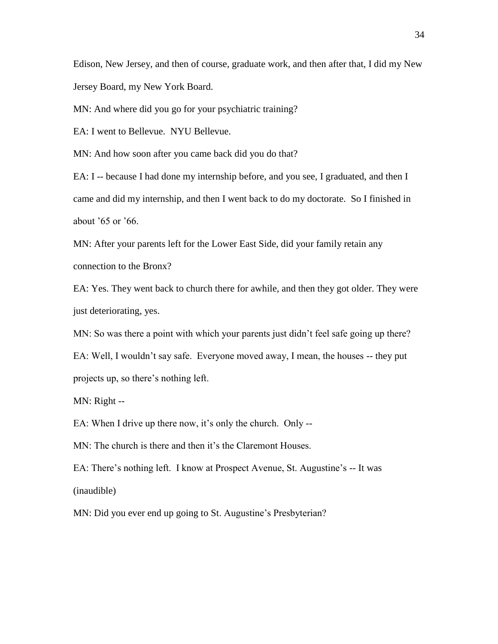Edison, New Jersey, and then of course, graduate work, and then after that, I did my New Jersey Board, my New York Board.

MN: And where did you go for your psychiatric training?

EA: I went to Bellevue. NYU Bellevue.

MN: And how soon after you came back did you do that?

EA: I -- because I had done my internship before, and you see, I graduated, and then I came and did my internship, and then I went back to do my doctorate. So I finished in about '65 or '66.

MN: After your parents left for the Lower East Side, did your family retain any connection to the Bronx?

EA: Yes. They went back to church there for awhile, and then they got older. They were just deteriorating, yes.

MN: So was there a point with which your parents just didn't feel safe going up there?

EA: Well, I wouldn't say safe. Everyone moved away, I mean, the houses -- they put projects up, so there's nothing left.

MN: Right --

EA: When I drive up there now, it's only the church. Only --

MN: The church is there and then it's the Claremont Houses.

EA: There's nothing left. I know at Prospect Avenue, St. Augustine's -- It was (inaudible)

MN: Did you ever end up going to St. Augustine's Presbyterian?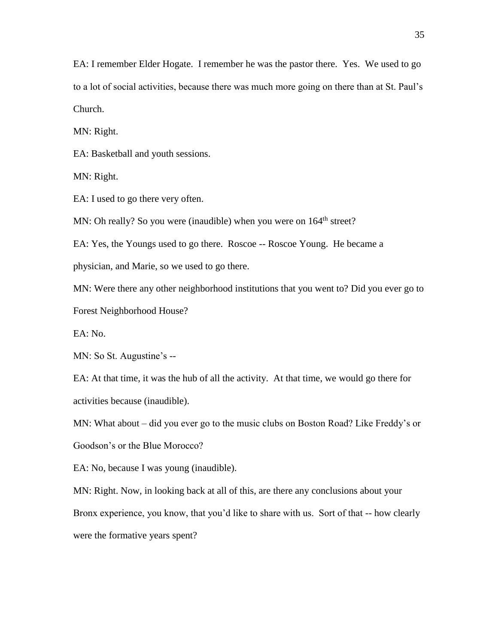EA: I remember Elder Hogate. I remember he was the pastor there. Yes. We used to go to a lot of social activities, because there was much more going on there than at St. Paul's Church.

MN: Right.

EA: Basketball and youth sessions.

MN: Right.

EA: I used to go there very often.

MN: Oh really? So you were (inaudible) when you were on 164<sup>th</sup> street?

EA: Yes, the Youngs used to go there. Roscoe -- Roscoe Young. He became a

physician, and Marie, so we used to go there.

MN: Were there any other neighborhood institutions that you went to? Did you ever go to Forest Neighborhood House?

EA: No.

MN: So St. Augustine's --

EA: At that time, it was the hub of all the activity. At that time, we would go there for activities because (inaudible).

MN: What about – did you ever go to the music clubs on Boston Road? Like Freddy's or Goodson's or the Blue Morocco?

EA: No, because I was young (inaudible).

MN: Right. Now, in looking back at all of this, are there any conclusions about your Bronx experience, you know, that you'd like to share with us. Sort of that -- how clearly were the formative years spent?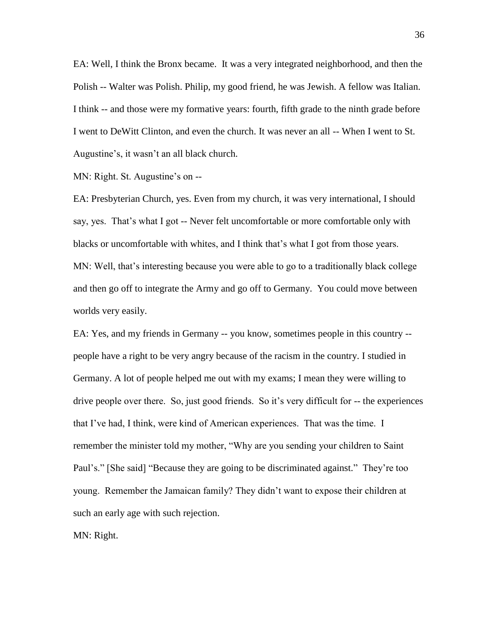EA: Well, I think the Bronx became. It was a very integrated neighborhood, and then the Polish -- Walter was Polish. Philip, my good friend, he was Jewish. A fellow was Italian. I think -- and those were my formative years: fourth, fifth grade to the ninth grade before I went to DeWitt Clinton, and even the church. It was never an all -- When I went to St. Augustine's, it wasn't an all black church.

MN: Right. St. Augustine's on --

EA: Presbyterian Church, yes. Even from my church, it was very international, I should say, yes. That's what I got -- Never felt uncomfortable or more comfortable only with blacks or uncomfortable with whites, and I think that's what I got from those years. MN: Well, that's interesting because you were able to go to a traditionally black college and then go off to integrate the Army and go off to Germany. You could move between worlds very easily.

EA: Yes, and my friends in Germany -- you know, sometimes people in this country - people have a right to be very angry because of the racism in the country. I studied in Germany. A lot of people helped me out with my exams; I mean they were willing to drive people over there. So, just good friends. So it's very difficult for -- the experiences that I've had, I think, were kind of American experiences. That was the time. I remember the minister told my mother, "Why are you sending your children to Saint Paul's." [She said] "Because they are going to be discriminated against." They're too young. Remember the Jamaican family? They didn't want to expose their children at such an early age with such rejection.

MN: Right.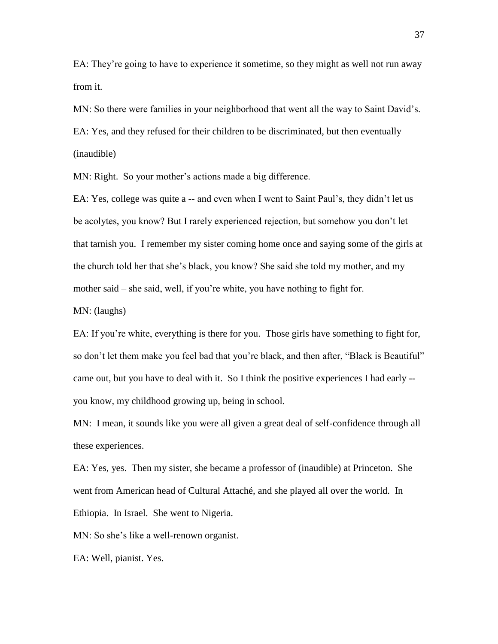EA: They're going to have to experience it sometime, so they might as well not run away from it.

MN: So there were families in your neighborhood that went all the way to Saint David's. EA: Yes, and they refused for their children to be discriminated, but then eventually (inaudible)

MN: Right. So your mother's actions made a big difference.

EA: Yes, college was quite a -- and even when I went to Saint Paul's, they didn't let us be acolytes, you know? But I rarely experienced rejection, but somehow you don't let that tarnish you. I remember my sister coming home once and saying some of the girls at the church told her that she's black, you know? She said she told my mother, and my mother said – she said, well, if you're white, you have nothing to fight for.

MN: (laughs)

EA: If you're white, everything is there for you. Those girls have something to fight for, so don't let them make you feel bad that you're black, and then after, "Black is Beautiful" came out, but you have to deal with it. So I think the positive experiences I had early - you know, my childhood growing up, being in school.

MN: I mean, it sounds like you were all given a great deal of self-confidence through all these experiences.

EA: Yes, yes. Then my sister, she became a professor of (inaudible) at Princeton. She went from American head of Cultural Attaché, and she played all over the world. In Ethiopia. In Israel. She went to Nigeria.

MN: So she's like a well-renown organist.

EA: Well, pianist. Yes.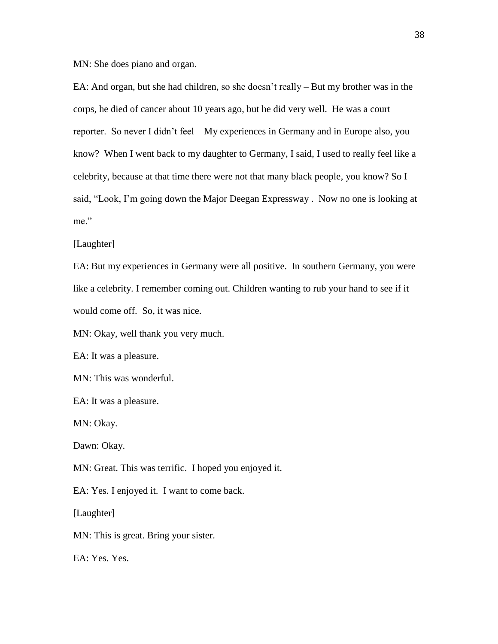MN: She does piano and organ.

EA: And organ, but she had children, so she doesn't really – But my brother was in the corps, he died of cancer about 10 years ago, but he did very well. He was a court reporter. So never I didn't feel – My experiences in Germany and in Europe also, you know? When I went back to my daughter to Germany, I said, I used to really feel like a celebrity, because at that time there were not that many black people, you know? So I said, "Look, I'm going down the Major Deegan Expressway . Now no one is looking at me"

## [Laughter]

EA: But my experiences in Germany were all positive. In southern Germany, you were like a celebrity. I remember coming out. Children wanting to rub your hand to see if it would come off. So, it was nice.

MN: Okay, well thank you very much.

EA: It was a pleasure.

MN: This was wonderful.

EA: It was a pleasure.

MN: Okay.

Dawn: Okay.

MN: Great. This was terrific. I hoped you enjoyed it.

EA: Yes. I enjoyed it. I want to come back.

[Laughter]

MN: This is great. Bring your sister.

EA: Yes. Yes.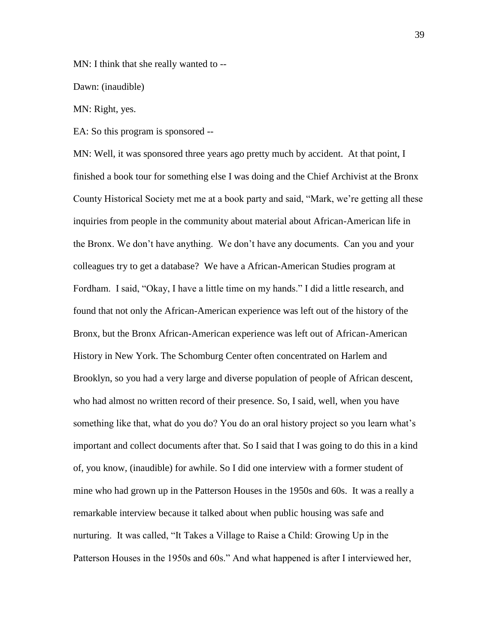MN: I think that she really wanted to --

Dawn: (inaudible)

MN: Right, yes.

EA: So this program is sponsored --

MN: Well, it was sponsored three years ago pretty much by accident. At that point, I finished a book tour for something else I was doing and the Chief Archivist at the Bronx County Historical Society met me at a book party and said, "Mark, we're getting all these inquiries from people in the community about material about African-American life in the Bronx. We don't have anything. We don't have any documents. Can you and your colleagues try to get a database? We have a African-American Studies program at Fordham. I said, "Okay, I have a little time on my hands." I did a little research, and found that not only the African-American experience was left out of the history of the Bronx, but the Bronx African-American experience was left out of African-American History in New York. The Schomburg Center often concentrated on Harlem and Brooklyn, so you had a very large and diverse population of people of African descent, who had almost no written record of their presence. So, I said, well, when you have something like that, what do you do? You do an oral history project so you learn what's important and collect documents after that. So I said that I was going to do this in a kind of, you know, (inaudible) for awhile. So I did one interview with a former student of mine who had grown up in the Patterson Houses in the 1950s and 60s. It was a really a remarkable interview because it talked about when public housing was safe and nurturing. It was called, "It Takes a Village to Raise a Child: Growing Up in the Patterson Houses in the 1950s and 60s." And what happened is after I interviewed her,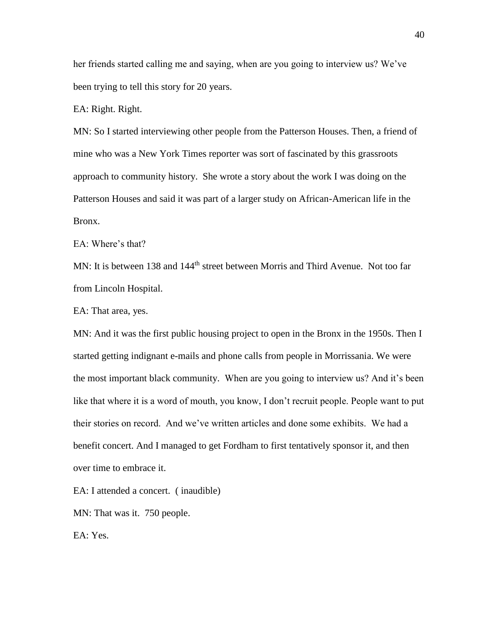her friends started calling me and saying, when are you going to interview us? We've been trying to tell this story for 20 years.

EA: Right. Right.

MN: So I started interviewing other people from the Patterson Houses. Then, a friend of mine who was a New York Times reporter was sort of fascinated by this grassroots approach to community history. She wrote a story about the work I was doing on the Patterson Houses and said it was part of a larger study on African-American life in the Bronx.

EA: Where's that?

MN: It is between 138 and 144<sup>th</sup> street between Morris and Third Avenue. Not too far from Lincoln Hospital.

EA: That area, yes.

MN: And it was the first public housing project to open in the Bronx in the 1950s. Then I started getting indignant e-mails and phone calls from people in Morrissania. We were the most important black community. When are you going to interview us? And it's been like that where it is a word of mouth, you know, I don't recruit people. People want to put their stories on record. And we've written articles and done some exhibits. We had a benefit concert. And I managed to get Fordham to first tentatively sponsor it, and then over time to embrace it.

EA: I attended a concert. ( inaudible)

MN: That was it. 750 people.

EA: Yes.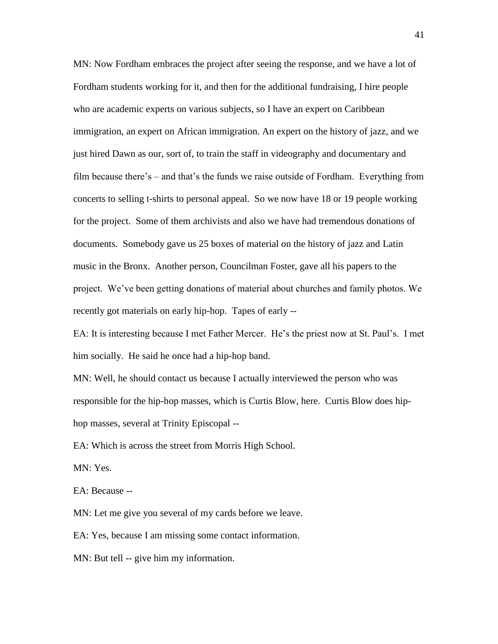MN: Now Fordham embraces the project after seeing the response, and we have a lot of Fordham students working for it, and then for the additional fundraising, I hire people who are academic experts on various subjects, so I have an expert on Caribbean immigration, an expert on African immigration. An expert on the history of jazz, and we just hired Dawn as our, sort of, to train the staff in videography and documentary and film because there's – and that's the funds we raise outside of Fordham. Everything from concerts to selling t-shirts to personal appeal. So we now have 18 or 19 people working for the project. Some of them archivists and also we have had tremendous donations of documents. Somebody gave us 25 boxes of material on the history of jazz and Latin music in the Bronx. Another person, Councilman Foster, gave all his papers to the project. We've been getting donations of material about churches and family photos. We recently got materials on early hip-hop. Tapes of early --

EA: It is interesting because I met Father Mercer. He's the priest now at St. Paul's. I met him socially. He said he once had a hip-hop band.

MN: Well, he should contact us because I actually interviewed the person who was responsible for the hip-hop masses, which is Curtis Blow, here. Curtis Blow does hiphop masses, several at Trinity Episcopal --

EA: Which is across the street from Morris High School.

MN: Yes.

EA: Because --

MN: Let me give you several of my cards before we leave.

EA: Yes, because I am missing some contact information.

MN: But tell -- give him my information.